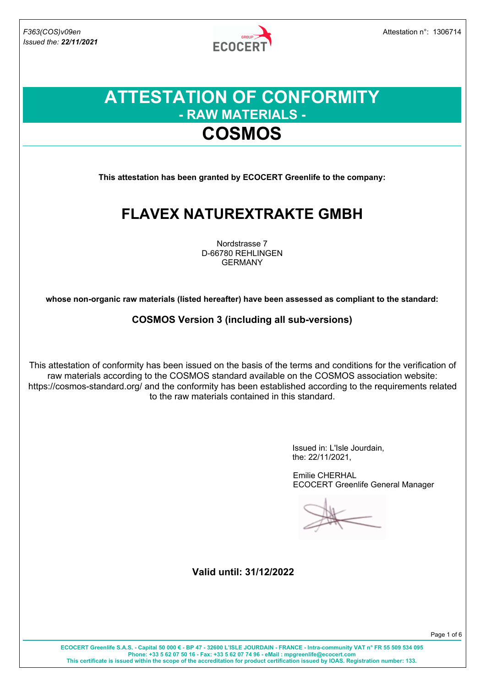

### **ATTESTATION OF CONFORMITY - RAW MATERIALS - COSMOS**

**This attestation has been granted by ECOCERT Greenlife to the company:**

### **FLAVEX NATUREXTRAKTE GMBH**

Nordstrasse 7 D-66780 REHLINGEN GERMANY

**whose non-organic raw materials (listed hereafter) have been assessed as compliant to the standard:**

**COSMOS Version 3 (including all sub-versions)**

This attestation of conformity has been issued on the basis of the terms and conditions for the verification of raw materials according to the COSMOS standard available on the COSMOS association website: https://cosmos-standard.org/ and the conformity has been established according to the requirements related to the raw materials contained in this standard.

> Issued in: L'Isle Jourdain, the: 22/11/2021,

Emilie CHERHAL ECOCERT Greenlife General Manager

**Valid until: 31/12/2022**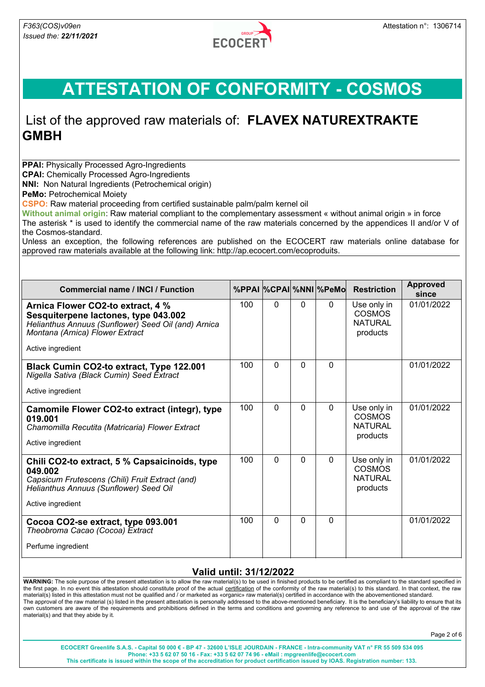

### List of the approved raw materials of: **FLAVEX NATUREXTRAKTE GMBH**

**PPAI: Physically Processed Agro-Ingredients** 

**CPAI:** Chemically Processed Agro-Ingredients

**NNI:** Non Natural Ingredients (Petrochemical origin)

**PeMo: Petrochemical Moiety** 

**CSPO:** Raw material proceeding from certified sustainable palm/palm kernel oil

**Without animal origin**: Raw material compliant to the complementary assessment « without animal origin » in force The asterisk \* is used to identify the commercial name of the raw materials concerned by the appendices II and/or V of the Cosmos-standard.

Unless an exception, the following references are published on the ECOCERT raw materials online database for approved raw materials available at the following link: http://ap.ecocert.com/ecoproduits.

| <b>Commercial name / INCI / Function</b>                                                                                                                                                 |     |   |          | %PPAI %CPAI %NNI %PeMo | <b>Restriction</b>                                         | <b>Approved</b><br>since |
|------------------------------------------------------------------------------------------------------------------------------------------------------------------------------------------|-----|---|----------|------------------------|------------------------------------------------------------|--------------------------|
| Arnica Flower CO2-to extract, 4 %<br>Sesquiterpene lactones, type 043.002<br>Helianthus Annuus (Sunflower) Seed Oil (and) Arnica<br>Montana (Arnica) Flower Extract<br>Active ingredient | 100 | 0 | $\Omega$ | $\mathbf{0}$           | Use only in<br><b>COSMOS</b><br><b>NATURAL</b><br>products | 01/01/2022               |
| Black Cumin CO2-to extract, Type 122.001<br>Nigella Sativa (Black Cumin) Seed Extract<br>Active ingredient                                                                               | 100 | 0 | $\Omega$ | $\Omega$               |                                                            | 01/01/2022               |
| Camomile Flower CO2-to extract (integr), type<br>019.001<br>Chamomilla Recutita (Matricaria) Flower Extract<br>Active ingredient                                                         | 100 | 0 | $\Omega$ | $\Omega$               | Use only in<br><b>COSMOS</b><br><b>NATURAL</b><br>products | 01/01/2022               |
| Chili CO2-to extract, 5 % Capsaicinoids, type<br>049.002<br>Capsicum Frutescens (Chili) Fruit Extract (and)<br>Helianthus Annuus (Sunflower) Seed Oil<br>Active ingredient               | 100 | 0 | $\Omega$ | $\Omega$               | Use only in<br><b>COSMOS</b><br><b>NATURAL</b><br>products | 01/01/2022               |
| Cocoa CO2-se extract, type 093.001<br>Theobroma Cacao (Cocoa) Extract<br>Perfume ingredient                                                                                              | 100 | 0 | $\Omega$ | $\Omega$               |                                                            | 01/01/2022               |

#### **Valid until: 31/12/2022**

**WARNING:** The sole purpose of the present attestation is to allow the raw material(s) to be used in finished products to be certified as compliant to the standard specified in the first page. In no event this attestation should constitute proof of the actual certification of the conformity of the raw material(s) to this standard. In that context, the raw material(s) listed in this attestation must not be qualified and / or marketed as «organic» raw material(s) certified in accordance with the abovementioned standard. The approval of the raw material (s) listed in the present attestation is personally addressed to the above-mentioned beneficiary. It is the beneficiary's liability to ensure that its own customers are aware of the requirements and prohibitions defined in the terms and conditions and governing any reference to and use of the approval of the raw material(s) and that they abide by it.

Page 2 of 6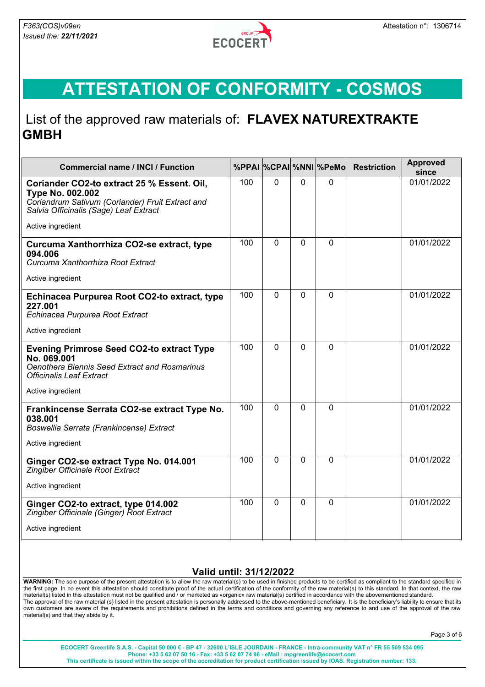

### List of the approved raw materials of: **FLAVEX NATUREXTRAKTE GMBH**

| <b>Commercial name / INCI / Function</b>                                                                                                                                 |     |              |             | %PPAI %CPAI %NNI %PeMo | <b>Restriction</b> | <b>Approved</b><br>since |
|--------------------------------------------------------------------------------------------------------------------------------------------------------------------------|-----|--------------|-------------|------------------------|--------------------|--------------------------|
| Coriander CO2-to extract 25 % Essent. Oil,<br><b>Type No. 002.002</b><br>Coriandrum Sativum (Coriander) Fruit Extract and<br>Salvia Officinalis (Sage) Leaf Extract      | 100 | 0            | $\mathbf 0$ | $\mathbf 0$            |                    | 01/01/2022               |
| Active ingredient                                                                                                                                                        |     |              |             |                        |                    |                          |
| Curcuma Xanthorrhiza CO2-se extract, type<br>094.006<br>Curcuma Xanthorrhiza Root Extract<br>Active ingredient                                                           | 100 | 0            | 0           | $\mathbf 0$            |                    | 01/01/2022               |
| Echinacea Purpurea Root CO2-to extract, type<br>227.001<br>Echinacea Purpurea Root Extract<br>Active ingredient                                                          | 100 | 0            | $\Omega$    | $\Omega$               |                    | 01/01/2022               |
| <b>Evening Primrose Seed CO2-to extract Type</b><br>No. 069.001<br>Oenothera Biennis Seed Extract and Rosmarinus<br><b>Officinalis Leaf Extract</b><br>Active ingredient | 100 | $\Omega$     | $\Omega$    | $\Omega$               |                    | 01/01/2022               |
| Frankincense Serrata CO2-se extract Type No.<br>038.001<br>Boswellia Serrata (Frankincense) Extract<br>Active ingredient                                                 | 100 | $\Omega$     | $\Omega$    | $\Omega$               |                    | 01/01/2022               |
| Ginger CO2-se extract Type No. 014.001<br>Zingiber Officinale Root Extract<br>Active ingredient                                                                          | 100 | 0            | $\Omega$    | $\mathbf{0}$           |                    | 01/01/2022               |
| Ginger CO2-to extract, type 014.002<br>Zingiber Officinale (Ginger) Root Extract<br>Active ingredient                                                                    | 100 | $\mathbf{0}$ | $\Omega$    | $\mathbf 0$            |                    | 01/01/2022               |

#### **Valid until: 31/12/2022**

**WARNING:** The sole purpose of the present attestation is to allow the raw material(s) to be used in finished products to be certified as compliant to the standard specified in the first page. In no event this attestation should constitute proof of the actual certification of the conformity of the raw material(s) to this standard. In that context, the raw material(s) listed in this attestation must not be qualified and / or marketed as «organic» raw material(s) certified in accordance with the abovementioned standard. The approval of the raw material (s) listed in the present attestation is personally addressed to the above-mentioned beneficiary. It is the beneficiary's liability to ensure that its own customers are aware of the requirements and prohibitions defined in the terms and conditions and governing any reference to and use of the approval of the raw material(s) and that they abide by it.

Page 3 of 6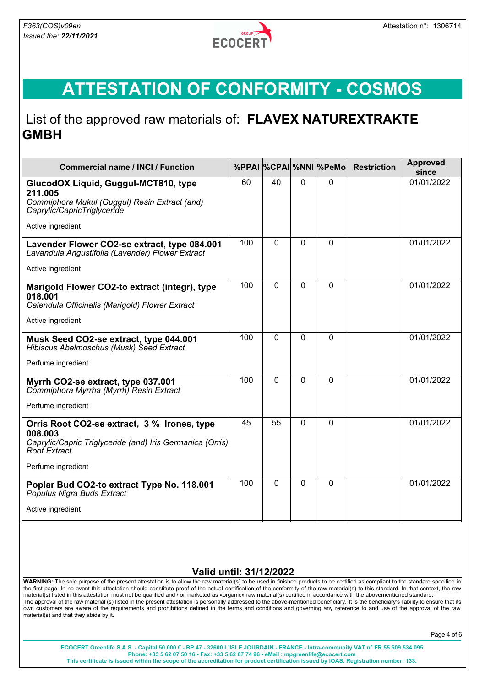

### List of the approved raw materials of: **FLAVEX NATUREXTRAKTE GMBH**

| <b>Commercial name / INCI / Function</b>                                                                                                   |     |              |          | %PPAI %CPAI %NNI %PeMo | <b>Restriction</b> | <b>Approved</b><br>since |
|--------------------------------------------------------------------------------------------------------------------------------------------|-----|--------------|----------|------------------------|--------------------|--------------------------|
| GlucodOX Liquid, Guggul-MCT810, type<br>211.005                                                                                            | 60  | 40           | 0        | $\Omega$               |                    | 01/01/2022               |
| Commiphora Mukul (Guggul) Resin Extract (and)<br>Caprylic/CapricTriglyceride                                                               |     |              |          |                        |                    |                          |
| Active ingredient                                                                                                                          |     |              |          |                        |                    |                          |
| Lavender Flower CO2-se extract, type 084.001<br>Lavandula Angustifolia (Lavender) Flower Extract                                           | 100 | $\Omega$     | $\Omega$ | $\Omega$               |                    | 01/01/2022               |
| Active ingredient                                                                                                                          |     |              |          |                        |                    |                          |
| Marigold Flower CO2-to extract (integr), type<br>018.001<br>Calendula Officinalis (Marigold) Flower Extract                                | 100 | $\Omega$     | $\Omega$ | $\Omega$               |                    | 01/01/2022               |
| Active ingredient                                                                                                                          |     |              |          |                        |                    |                          |
| Musk Seed CO2-se extract, type 044.001<br>Hibiscus Abelmoschus (Musk) Seed Extract                                                         | 100 | 0            | $\Omega$ | $\Omega$               |                    | 01/01/2022               |
| Perfume ingredient                                                                                                                         |     |              |          |                        |                    |                          |
| Myrrh CO2-se extract, type 037.001<br>Commiphora Myrrha (Myrrh) Resin Extract                                                              | 100 | $\Omega$     | $\Omega$ | $\mathbf{0}$           |                    | 01/01/2022               |
| Perfume ingredient                                                                                                                         |     |              |          |                        |                    |                          |
| Orris Root CO2-se extract, 3 % Irones, type<br>008.003<br>Caprylic/Capric Triglyceride (and) Iris Germanica (Orris)<br><b>Root Extract</b> | 45  | 55           | $\Omega$ | $\mathbf{0}$           |                    | 01/01/2022               |
| Perfume ingredient                                                                                                                         |     |              |          |                        |                    |                          |
| Poplar Bud CO2-to extract Type No. 118.001<br>Populus Nigra Buds Extract                                                                   | 100 | $\mathbf{0}$ | 0        | $\mathbf 0$            |                    | 01/01/2022               |
| Active ingredient                                                                                                                          |     |              |          |                        |                    |                          |

#### **Valid until: 31/12/2022**

**WARNING:** The sole purpose of the present attestation is to allow the raw material(s) to be used in finished products to be certified as compliant to the standard specified in the first page. In no event this attestation should constitute proof of the actual certification of the conformity of the raw material(s) to this standard. In that context, the raw material(s) listed in this attestation must not be qualified and / or marketed as «organic» raw material(s) certified in accordance with the abovementioned standard. The approval of the raw material (s) listed in the present attestation is personally addressed to the above-mentioned beneficiary. It is the beneficiary's liability to ensure that its own customers are aware of the requirements and prohibitions defined in the terms and conditions and governing any reference to and use of the approval of the raw material(s) and that they abide by it.

Page 4 of 6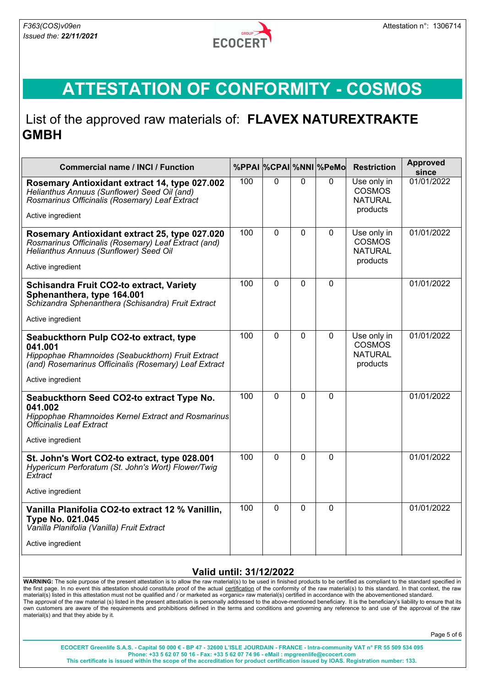

#### List of the approved raw materials of: **FLAVEX NATUREXTRAKTE GMBH**

| <b>Commercial name / INCI / Function</b>                                                                                                                                             |     |                |                | %PPAI %CPAI %NNI %PeMo | <b>Restriction</b>                                         | <b>Approved</b><br>since |
|--------------------------------------------------------------------------------------------------------------------------------------------------------------------------------------|-----|----------------|----------------|------------------------|------------------------------------------------------------|--------------------------|
| Rosemary Antioxidant extract 14, type 027.002<br>Helianthus Annuus (Sunflower) Seed Oil (and)<br>Rosmarinus Officinalis (Rosemary) Leaf Extract                                      | 100 | $\overline{0}$ | $\overline{0}$ | $\mathbf{0}$           | Use only in<br><b>COSMOS</b><br><b>NATURAL</b><br>products | 01/01/2022               |
| Active ingredient                                                                                                                                                                    |     |                |                |                        |                                                            |                          |
| Rosemary Antioxidant extract 25, type 027.020<br>Rosmarinus Officinalis (Rosemary) Leaf Extract (and)<br>Helianthus Annuus (Sunflower) Seed Oil<br>Active ingredient                 | 100 | $\Omega$       | 0              | 0                      | Use only in<br><b>COSMOS</b><br><b>NATURAL</b><br>products | 01/01/2022               |
| <b>Schisandra Fruit CO2-to extract, Variety</b><br>Sphenanthera, type 164.001<br>Schizandra Sphenanthera (Schisandra) Fruit Extract<br>Active ingredient                             | 100 | $\overline{0}$ | $\Omega$       | $\Omega$               |                                                            | 01/01/2022               |
| Seabuckthorn Pulp CO2-to extract, type<br>041.001<br>Hippophae Rhamnoides (Seabuckthorn) Fruit Extract<br>(and) Rosemarinus Officinalis (Rosemary) Leaf Extract<br>Active ingredient | 100 | $\Omega$       | $\Omega$       | $\Omega$               | Use only in<br><b>COSMOS</b><br><b>NATURAL</b><br>products | 01/01/2022               |
| Seabuckthorn Seed CO2-to extract Type No.<br>041.002<br>Hippophae Rhamnoides Kernel Extract and Rosmarinus<br><b>Officinalis Leaf Extract</b><br>Active ingredient                   | 100 | $\overline{0}$ | $\overline{0}$ | $\Omega$               |                                                            | 01/01/2022               |
| St. John's Wort CO2-to extract, type 028.001<br>Hypericum Perforatum (St. John's Wort) Flower/Twig<br>Extract<br>Active ingredient                                                   | 100 | $\Omega$       | $\Omega$       | 0                      |                                                            | 01/01/2022               |
|                                                                                                                                                                                      | 100 | $\Omega$       | $\Omega$       | $\mathbf 0$            |                                                            | 01/01/2022               |
| Vanilla Planifolia CO2-to extract 12 % Vanillin,<br><b>Type No. 021.045</b><br>Vanilla Planifolia (Vanilla) Fruit Extract<br>Active ingredient                                       |     |                |                |                        |                                                            |                          |

#### **Valid until: 31/12/2022**

**WARNING:** The sole purpose of the present attestation is to allow the raw material(s) to be used in finished products to be certified as compliant to the standard specified in the first page. In no event this attestation should constitute proof of the actual certification of the conformity of the raw material(s) to this standard. In that context, the raw material(s) listed in this attestation must not be qualified and / or marketed as «organic» raw material(s) certified in accordance with the abovementioned standard. The approval of the raw material (s) listed in the present attestation is personally addressed to the above-mentioned beneficiary. It is the beneficiary's liability to ensure that its own customers are aware of the requirements and prohibitions defined in the terms and conditions and governing any reference to and use of the approval of the raw material(s) and that they abide by it.

Page 5 of 6